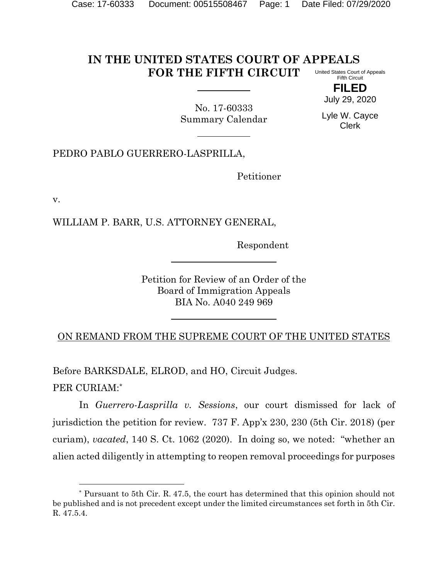#### **IN THE UNITED STATES COURT OF APPEALS FOR THE FIFTH CIRCUIT** United States Court of Appeals Fifth Circuit

**FILED** July 29, 2020

No. 17-60333 Summary Calendar

Lyle W. Cayce Clerk

PEDRO PABLO GUERRERO-LASPRILLA,

Petitioner

v.

WILLIAM P. BARR, U.S. ATTORNEY GENERAL,

Respondent

Petition for Review of an Order of the Board of Immigration Appeals BIA No. A040 249 969

ON REMAND FROM THE SUPREME COURT OF THE UNITED STATES

Before BARKSDALE, ELROD, and HO, Circuit Judges. PER CURIAM:\*

In *Guerrero-Lasprilla v. Sessions*, our court dismissed for lack of jurisdiction the petition for review. 737 F. App'x 230, 230 (5th Cir. 2018) (per curiam), *vacated*, 140 S. Ct. 1062 (2020). In doing so, we noted: "whether an alien acted diligently in attempting to reopen removal proceedings for purposes

<sup>\*</sup> Pursuant to 5th Cir. R. 47.5, the court has determined that this opinion should not be published and is not precedent except under the limited circumstances set forth in 5th Cir. R. 47.5.4.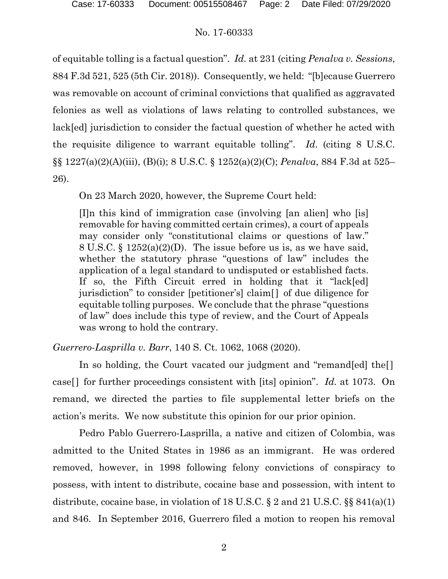of equitable tolling is a factual question". *Id.* at 231 (citing *Penalva v. Sessions*, 884 F.3d 521, 525 (5th Cir. 2018)). Consequently, we held: "[b]ecause Guerrero was removable on account of criminal convictions that qualified as aggravated felonies as well as violations of laws relating to controlled substances, we lack[ed] jurisdiction to consider the factual question of whether he acted with the requisite diligence to warrant equitable tolling". *Id.* (citing 8 U.S.C. §§ 1227(a)(2)(A)(iii), (B)(i); 8 U.S.C. § 1252(a)(2)(C); *Penalva*, 884 F.3d at 525– 26).

On 23 March 2020, however, the Supreme Court held:

[I]n this kind of immigration case (involving [an alien] who [is] removable for having committed certain crimes), a court of appeals may consider only "constitutional claims or questions of law." 8 U.S.C. § 1252(a)(2)(D). The issue before us is, as we have said, whether the statutory phrase "questions of law" includes the application of a legal standard to undisputed or established facts. If so, the Fifth Circuit erred in holding that it "lack[ed] jurisdiction" to consider [petitioner's] claim[ ] of due diligence for equitable tolling purposes. We conclude that the phrase "questions of law" does include this type of review, and the Court of Appeals was wrong to hold the contrary.

*Guerrero-Lasprilla v. Barr*, 140 S. Ct. 1062, 1068 (2020).

In so holding, the Court vacated our judgment and "remand[ed] the. case[ ] for further proceedings consistent with [its] opinion". *Id.* at 1073. On remand, we directed the parties to file supplemental letter briefs on the action's merits. We now substitute this opinion for our prior opinion.

Pedro Pablo Guerrero-Lasprilla, a native and citizen of Colombia, was admitted to the United States in 1986 as an immigrant. He was ordered removed, however, in 1998 following felony convictions of conspiracy to possess, with intent to distribute, cocaine base and possession, with intent to distribute, cocaine base, in violation of 18 U.S.C. § 2 and 21 U.S.C. §§ 841(a)(1) and 846. In September 2016, Guerrero filed a motion to reopen his removal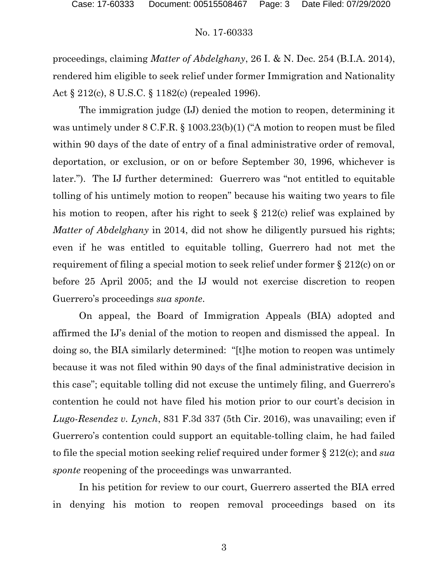proceedings, claiming *Matter of Abdelghany*, 26 I. & N. Dec. 254 (B.I.A. 2014), rendered him eligible to seek relief under former Immigration and Nationality Act § 212(c), 8 U.S.C. § 1182(c) (repealed 1996).

The immigration judge (IJ) denied the motion to reopen, determining it was untimely under 8 C.F.R. § 1003.23(b)(1) ("A motion to reopen must be filed within 90 days of the date of entry of a final administrative order of removal, deportation, or exclusion, or on or before September 30, 1996, whichever is later."). The IJ further determined: Guerrero was "not entitled to equitable tolling of his untimely motion to reopen" because his waiting two years to file his motion to reopen, after his right to seek § 212(c) relief was explained by *Matter of Abdelghany* in 2014, did not show he diligently pursued his rights; even if he was entitled to equitable tolling, Guerrero had not met the requirement of filing a special motion to seek relief under former § 212(c) on or before 25 April 2005; and the IJ would not exercise discretion to reopen Guerrero's proceedings *sua sponte*.

On appeal, the Board of Immigration Appeals (BIA) adopted and affirmed the IJ's denial of the motion to reopen and dismissed the appeal. In doing so, the BIA similarly determined: "[t]he motion to reopen was untimely because it was not filed within 90 days of the final administrative decision in this case"; equitable tolling did not excuse the untimely filing, and Guerrero's contention he could not have filed his motion prior to our court's decision in *Lugo-Resendez v. Lynch*, 831 F.3d 337 (5th Cir. 2016), was unavailing; even if Guerrero's contention could support an equitable-tolling claim, he had failed to file the special motion seeking relief required under former § 212(c); and *sua sponte* reopening of the proceedings was unwarranted.

In his petition for review to our court, Guerrero asserted the BIA erred in denying his motion to reopen removal proceedings based on its

3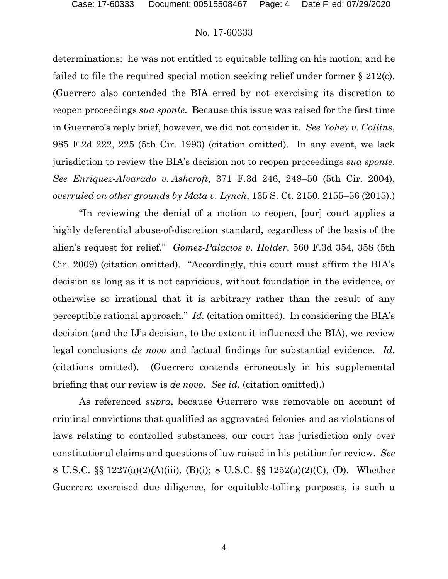determinations: he was not entitled to equitable tolling on his motion; and he failed to file the required special motion seeking relief under former § 212(c). (Guerrero also contended the BIA erred by not exercising its discretion to reopen proceedings *sua sponte*. Because this issue was raised for the first time in Guerrero's reply brief, however, we did not consider it. *See Yohey v. Collins*, 985 F.2d 222, 225 (5th Cir. 1993) (citation omitted). In any event, we lack jurisdiction to review the BIA's decision not to reopen proceedings *sua sponte*. *See Enriquez-Alvarado v. Ashcroft*, 371 F.3d 246, 248–50 (5th Cir. 2004), *overruled on other grounds by Mata v. Lynch*, 135 S. Ct. 2150, 2155–56 (2015).)

"In reviewing the denial of a motion to reopen, [our] court applies a highly deferential abuse-of-discretion standard, regardless of the basis of the alien's request for relief." *Gomez-Palacios v. Holder*, 560 F.3d 354, 358 (5th Cir. 2009) (citation omitted). "Accordingly, this court must affirm the BIA's decision as long as it is not capricious, without foundation in the evidence, or otherwise so irrational that it is arbitrary rather than the result of any perceptible rational approach." *Id.* (citation omitted). In considering the BIA's decision (and the IJ's decision, to the extent it influenced the BIA), we review legal conclusions *de novo* and factual findings for substantial evidence. *Id.* (citations omitted). (Guerrero contends erroneously in his supplemental briefing that our review is *de novo*. *See id.* (citation omitted).)

As referenced *supra*, because Guerrero was removable on account of criminal convictions that qualified as aggravated felonies and as violations of laws relating to controlled substances, our court has jurisdiction only over constitutional claims and questions of law raised in his petition for review. *See* 8 U.S.C. §§ 1227(a)(2)(A)(iii), (B)(i); 8 U.S.C. §§ 1252(a)(2)(C), (D). Whether Guerrero exercised due diligence, for equitable-tolling purposes, is such a

4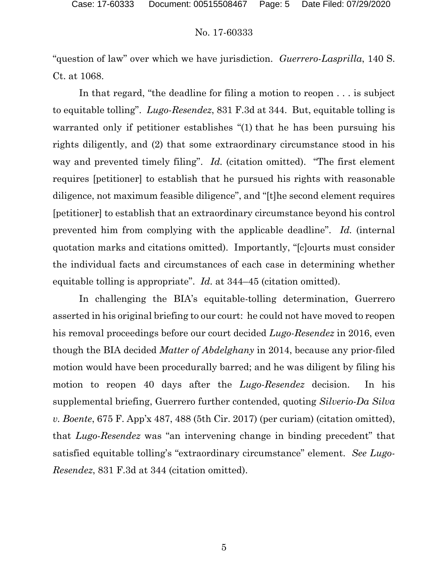"question of law" over which we have jurisdiction. *Guerrero-Lasprilla*, 140 S. Ct. at 1068.

In that regard, "the deadline for filing a motion to reopen . . . is subject to equitable tolling". *Lugo-Resendez*, 831 F.3d at 344. But, equitable tolling is warranted only if petitioner establishes "(1) that he has been pursuing his rights diligently, and (2) that some extraordinary circumstance stood in his way and prevented timely filing". *Id.* (citation omitted). "The first element requires [petitioner] to establish that he pursued his rights with reasonable diligence, not maximum feasible diligence", and "[t]he second element requires [petitioner] to establish that an extraordinary circumstance beyond his control prevented him from complying with the applicable deadline". *Id.* (internal quotation marks and citations omitted). Importantly, "[c]ourts must consider the individual facts and circumstances of each case in determining whether equitable tolling is appropriate". *Id.* at 344–45 (citation omitted).

In challenging the BIA's equitable-tolling determination, Guerrero asserted in his original briefing to our court: he could not have moved to reopen his removal proceedings before our court decided *Lugo-Resendez* in 2016, even though the BIA decided *Matter of Abdelghany* in 2014, because any prior-filed motion would have been procedurally barred; and he was diligent by filing his motion to reopen 40 days after the *Lugo-Resendez* decision. In his supplemental briefing, Guerrero further contended, quoting *Silverio-Da Silva v. Boente*, 675 F. App'x 487, 488 (5th Cir. 2017) (per curiam) (citation omitted), that *Lugo-Resendez* was "an intervening change in binding precedent" that satisfied equitable tolling's "extraordinary circumstance" element. *See Lugo-Resendez*, 831 F.3d at 344 (citation omitted).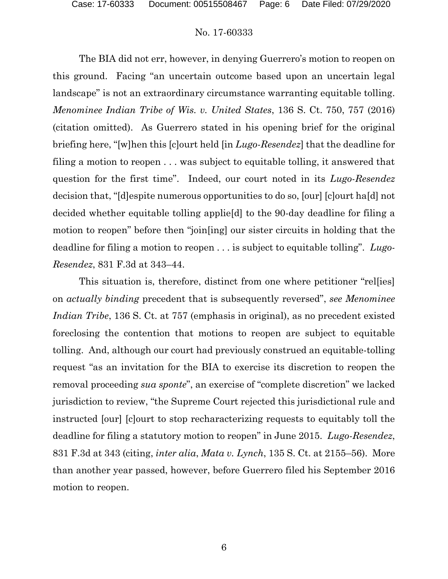The BIA did not err, however, in denying Guerrero's motion to reopen on this ground. Facing "an uncertain outcome based upon an uncertain legal landscape" is not an extraordinary circumstance warranting equitable tolling. *Menominee Indian Tribe of Wis. v. United States*, 136 S. Ct. 750, 757 (2016) (citation omitted). As Guerrero stated in his opening brief for the original briefing here, "[w]hen this [c]ourt held [in *Lugo-Resendez*] that the deadline for filing a motion to reopen . . . was subject to equitable tolling, it answered that question for the first time". Indeed, our court noted in its *Lugo-Resendez* decision that, "[d]espite numerous opportunities to do so, [our] [c]ourt ha[d] not decided whether equitable tolling applie[d] to the 90-day deadline for filing a motion to reopen" before then "join[ing] our sister circuits in holding that the deadline for filing a motion to reopen . . . is subject to equitable tolling". *Lugo-Resendez*, 831 F.3d at 343–44.

This situation is, therefore, distinct from one where petitioner "rel[ies] on *actually binding* precedent that is subsequently reversed", *see Menominee Indian Tribe*, 136 S. Ct. at 757 (emphasis in original), as no precedent existed foreclosing the contention that motions to reopen are subject to equitable tolling. And, although our court had previously construed an equitable-tolling request "as an invitation for the BIA to exercise its discretion to reopen the removal proceeding *sua sponte*", an exercise of "complete discretion" we lacked jurisdiction to review, "the Supreme Court rejected this jurisdictional rule and instructed [our] [c]ourt to stop recharacterizing requests to equitably toll the deadline for filing a statutory motion to reopen" in June 2015. *Lugo-Resendez*, 831 F.3d at 343 (citing, *inter alia*, *Mata v. Lynch*, 135 S. Ct. at 2155–56). More than another year passed, however, before Guerrero filed his September 2016 motion to reopen.